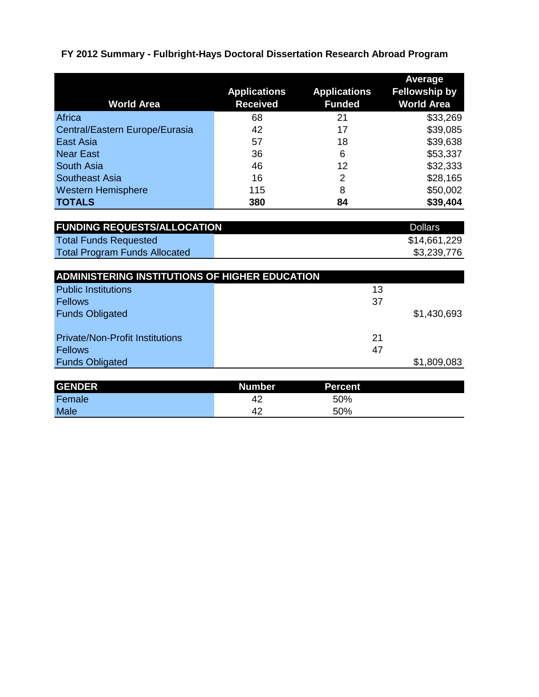| <b>World Area</b>              | <b>Applications</b><br><b>Received</b> | <b>Applications</b><br><b>Funded</b> | Average<br><b>Fellowship by</b><br><b>World Area</b> |
|--------------------------------|----------------------------------------|--------------------------------------|------------------------------------------------------|
| Africa                         | 68                                     | 21                                   | \$33,269                                             |
| Central/Eastern Europe/Eurasia | 42                                     | 17                                   | \$39,085                                             |
| East Asia                      | 57                                     | 18                                   | \$39,638                                             |
| <b>Near East</b>               | 36                                     | 6                                    | \$53,337                                             |
| <b>South Asia</b>              | 46                                     | 12                                   | \$32,333                                             |
| <b>Southeast Asia</b>          | 16                                     | 2                                    | \$28,165                                             |
| <b>Western Hemisphere</b>      | 115                                    | 8                                    | \$50,002                                             |
| <b>TOTALS</b>                  | 380                                    | 84                                   | \$39,404                                             |

| <b>FUNDING REQUESTS/ALLOCATION</b>   | <b>Dollars</b> |
|--------------------------------------|----------------|
| Total Funds Requested                | \$14,661,229   |
| <b>Total Program Funds Allocated</b> | \$3,239,776    |

| <b>ADMINISTERING INSTITUTIONS OF HIGHER EDUCATION</b> |    |             |
|-------------------------------------------------------|----|-------------|
| <b>Public Institutions</b>                            | 13 |             |
| <b>Fellows</b>                                        | 37 |             |
| <b>Funds Obligated</b>                                |    | \$1,430,693 |
|                                                       |    |             |
| <b>Private/Non-Profit Institutions</b>                | 21 |             |
| <b>Fellows</b>                                        | 47 |             |
| <b>Funds Obligated</b>                                |    | \$1,809,083 |

| Female<br>42      |     |  |
|-------------------|-----|--|
|                   | 50% |  |
| <b>Male</b><br>42 | 50% |  |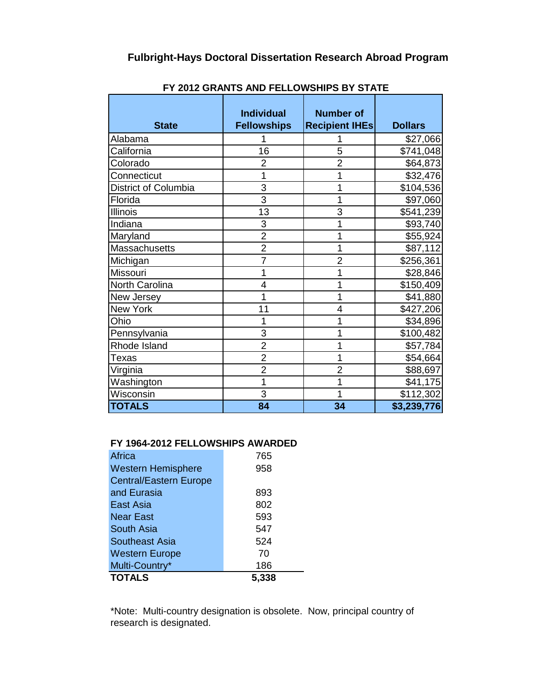|                      | <b>Individual</b>  | <b>Number of</b>      |                |
|----------------------|--------------------|-----------------------|----------------|
| <b>State</b>         | <b>Fellowships</b> | <b>Recipient IHEs</b> | <b>Dollars</b> |
| Alabama              |                    |                       | \$27,066       |
| California           | 16                 | 5                     | \$741,048      |
| Colorado             | $\overline{2}$     | $\overline{2}$        | \$64,873       |
| Connecticut          | 1                  |                       | \$32,476       |
| District of Columbia | 3                  | 1                     | \$104,536      |
| Florida              | 3                  | 1                     | \$97,060       |
| <b>Illinois</b>      | 13                 | 3                     | \$541,239      |
| Indiana              | 3                  | 1                     | \$93,740       |
| Maryland             | $\overline{2}$     | 1                     | \$55,924       |
| Massachusetts        | $\overline{2}$     | 1                     | \$87,112       |
| Michigan             | $\overline{7}$     | $\overline{2}$        | \$256,361      |
| Missouri             | 1                  | 1                     | \$28,846       |
| North Carolina       | 4                  | 1                     | \$150,409      |
| New Jersey           | 1                  | 1                     | \$41,880       |
| New York             | 11                 | 4                     | \$427,206      |
| Ohio                 | 1                  |                       | \$34,896       |
| Pennsylvania         | 3                  | 1                     | \$100,482      |
| Rhode Island         | $\overline{2}$     | 1                     | \$57,784       |
| Texas                | $\overline{c}$     | 1                     | \$54,664       |
| Virginia             | $\overline{2}$     | $\overline{2}$        | \$88,697       |
| Washington           | 1                  | 1                     | \$41,175       |
| Wisconsin            | 3                  | 1                     | \$112,302      |
| <b>TOTALS</b>        | 84                 | 34                    | \$3,239,776    |

**FY 2012 GRANTS AND FELLOWSHIPS BY STATE**

## **FY 1964-2012 FELLOWSHIPS AWARDED**

| Africa                        | 765   |
|-------------------------------|-------|
| <b>Western Hemisphere</b>     | 958   |
| <b>Central/Eastern Europe</b> |       |
| and Eurasia                   | 893   |
| East Asia                     | 802   |
| <b>Near East</b>              | 593   |
| South Asia                    | 547   |
| <b>Southeast Asia</b>         | 524   |
| <b>Western Europe</b>         | 70    |
| Multi-Country*                | 186   |
| <b>TOTALS</b>                 | 5,338 |

\*Note: Multi-country designation is obsolete. Now, principal country of research is designated.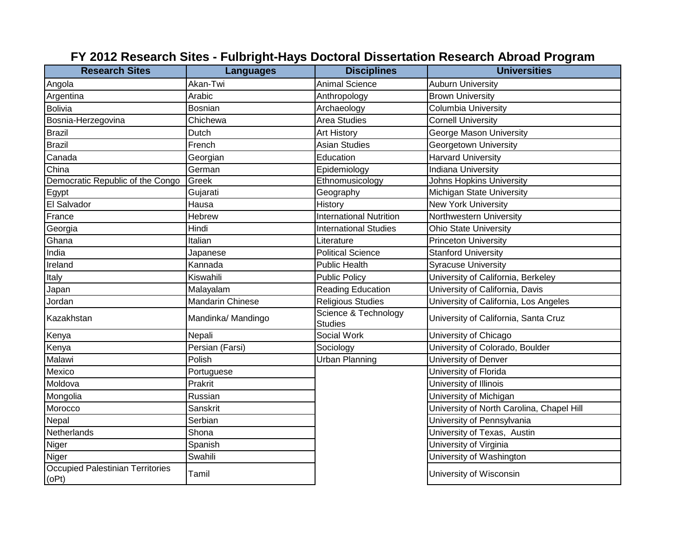| <b>Research Sites</b>                     | <b>Languages</b>        | <b>Disciplines</b>                     | <b>Universities</b>                       |
|-------------------------------------------|-------------------------|----------------------------------------|-------------------------------------------|
| Angola                                    | Akan-Twi                | <b>Animal Science</b>                  | <b>Auburn University</b>                  |
| Argentina                                 | Arabic                  | Anthropology                           | <b>Brown University</b>                   |
| <b>Bolivia</b>                            | <b>Bosnian</b>          | Archaeology                            | <b>Columbia University</b>                |
| Bosnia-Herzegovina                        | Chichewa                | <b>Area Studies</b>                    | <b>Cornell University</b>                 |
| <b>Brazil</b>                             | Dutch                   | <b>Art History</b>                     | George Mason University                   |
| <b>Brazil</b>                             | French                  | <b>Asian Studies</b>                   | Georgetown University                     |
| Canada                                    | Georgian                | Education                              | <b>Harvard University</b>                 |
| China                                     | German                  | Epidemiology                           | <b>Indiana University</b>                 |
| Democratic Republic of the Congo          | Greek                   | Ethnomusicology                        | <b>Johns Hopkins University</b>           |
| Egypt                                     | Gujarati                | Geography                              | Michigan State University                 |
| El Salvador                               | Hausa                   | History                                | <b>New York University</b>                |
| France                                    | Hebrew                  | <b>International Nutrition</b>         | Northwestern University                   |
| Georgia                                   | Hindi                   | <b>International Studies</b>           | <b>Ohio State University</b>              |
| Ghana                                     | Italian                 | Literature                             | <b>Princeton University</b>               |
| India                                     | Japanese                | <b>Political Science</b>               | <b>Stanford University</b>                |
| Ireland                                   | Kannada                 | <b>Public Health</b>                   | <b>Syracuse University</b>                |
| Italy                                     | Kiswahili               | <b>Public Policy</b>                   | University of California, Berkeley        |
| Japan                                     | Malayalam               | <b>Reading Education</b>               | University of California, Davis           |
| Jordan                                    | <b>Mandarin Chinese</b> | <b>Religious Studies</b>               | University of California, Los Angeles     |
| Kazakhstan                                | Mandinka/ Mandingo      | Science & Technology<br><b>Studies</b> | University of California, Santa Cruz      |
| Kenya                                     | Nepali                  | Social Work                            | University of Chicago                     |
| Kenya                                     | Persian (Farsi)         | Sociology                              | University of Colorado, Boulder           |
| Malawi                                    | Polish                  | <b>Urban Planning</b>                  | University of Denver                      |
| Mexico                                    | Portuguese              |                                        | University of Florida                     |
| Moldova                                   | Prakrit                 |                                        | University of Illinois                    |
| Mongolia                                  | Russian                 |                                        | University of Michigan                    |
| Morocco                                   | Sanskrit                |                                        | University of North Carolina, Chapel Hill |
| Nepal                                     | Serbian                 |                                        | University of Pennsylvania                |
| Netherlands                               | Shona                   |                                        | University of Texas, Austin               |
| Niger                                     | Spanish                 |                                        | University of Virginia                    |
| Niger                                     | Swahili                 |                                        | University of Washington                  |
| Occupied Palestinian Territories<br>(OPt) | Tamil                   |                                        | University of Wisconsin                   |

## **FY 2012 Research Sites - Fulbright-Hays Doctoral Dissertation Research Abroad Program**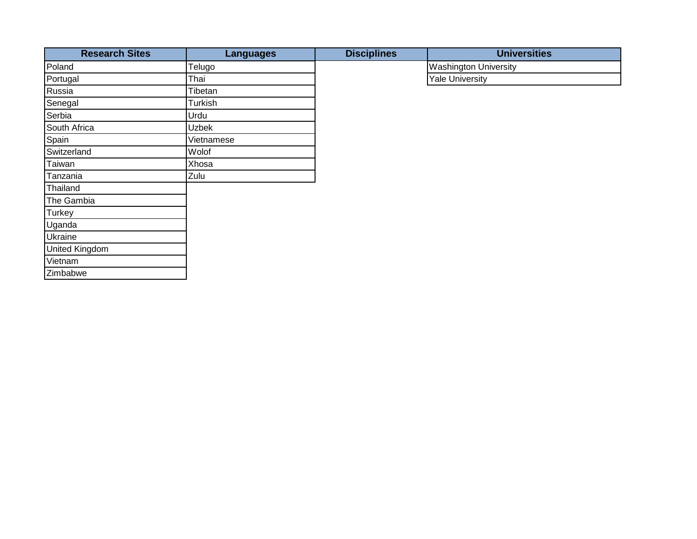| <b>Research Sites</b> | <b>Languages</b> | <b>Disciplines</b> | <b>Universities</b>          |
|-----------------------|------------------|--------------------|------------------------------|
| Poland                | Telugo           |                    | <b>Washington University</b> |
| Portugal              | Thai             |                    | <b>Yale University</b>       |
| Russia                | Tibetan          |                    |                              |
| Senegal               | Turkish          |                    |                              |
| Serbia                | Urdu             |                    |                              |
| South Africa          | <b>Uzbek</b>     |                    |                              |
| Spain                 | Vietnamese       |                    |                              |
| Switzerland           | Wolof            |                    |                              |
| Taiwan                | Xhosa            |                    |                              |
| Tanzania              | Zulu             |                    |                              |
| Thailand              |                  |                    |                              |
| The Gambia            |                  |                    |                              |
| Turkey                |                  |                    |                              |
| Uganda                |                  |                    |                              |
| Ukraine               |                  |                    |                              |
| United Kingdom        |                  |                    |                              |
| Vietnam               |                  |                    |                              |
| Zimbabwe              |                  |                    |                              |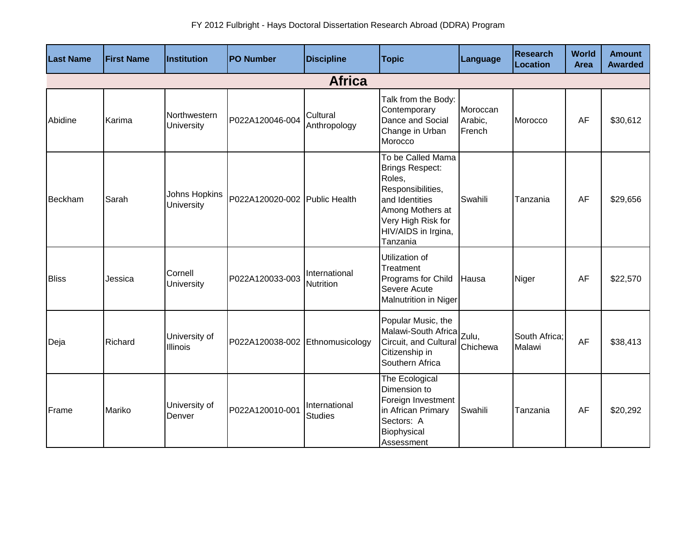| <b>Last Name</b> | <b>First Name</b> | Institution                 | <b>PO Number</b>                | <b>Discipline</b>                 | <b>Topic</b>                                                                                                                                                       | Language                      | <b>Research</b><br>Location | World<br><b>Area</b> | <b>Amount</b><br><b>Awarded</b> |  |
|------------------|-------------------|-----------------------------|---------------------------------|-----------------------------------|--------------------------------------------------------------------------------------------------------------------------------------------------------------------|-------------------------------|-----------------------------|----------------------|---------------------------------|--|
|                  | <b>Africa</b>     |                             |                                 |                                   |                                                                                                                                                                    |                               |                             |                      |                                 |  |
| Abidine          | Karima            | Northwestern<br>University  | P022A120046-004                 | Cultural<br>Anthropology          | Talk from the Body:<br>Contemporary<br>Dance and Social<br>Change in Urban<br>Morocco                                                                              | Moroccan<br>Arabic,<br>French | Morocco                     | AF                   | \$30,612                        |  |
| Beckham          | Sarah             | Johns Hopkins<br>University | P022A120020-002 Public Health   |                                   | To be Called Mama<br>Brings Respect:<br>Roles,<br>Responsibilities,<br>and Identities<br>Among Mothers at<br>Very High Risk for<br>HIV/AIDS in Irgina,<br>Tanzania | Swahili                       | Tanzania                    | AF                   | \$29,656                        |  |
| <b>Bliss</b>     | Jessica           | Cornell<br>University       | P022A120033-003                 | International<br><b>Nutrition</b> | Utilization of<br>Treatment<br>Programs for Child<br>Severe Acute<br>Malnutrition in Niger                                                                         | Hausa                         | Niger                       | AF                   | \$22,570                        |  |
| Deja             | Richard           | University of<br>Illinois   | P022A120038-002 Ethnomusicology |                                   | Popular Music, the<br>Malawi-South Africa<br>Circuit, and Cultural<br>Citizenship in<br>Southern Africa                                                            | Zulu,<br>Chichewa             | South Africa:<br>Malawi     | <b>AF</b>            | \$38,413                        |  |
| Frame            | Mariko            | University of<br>Denver     | P022A120010-001                 | International<br><b>Studies</b>   | The Ecological<br>Dimension to<br>Foreign Investment<br>in African Primary<br>Sectors: A<br>Biophysical<br>Assessment                                              | Swahili                       | Tanzania                    | AF                   | \$20,292                        |  |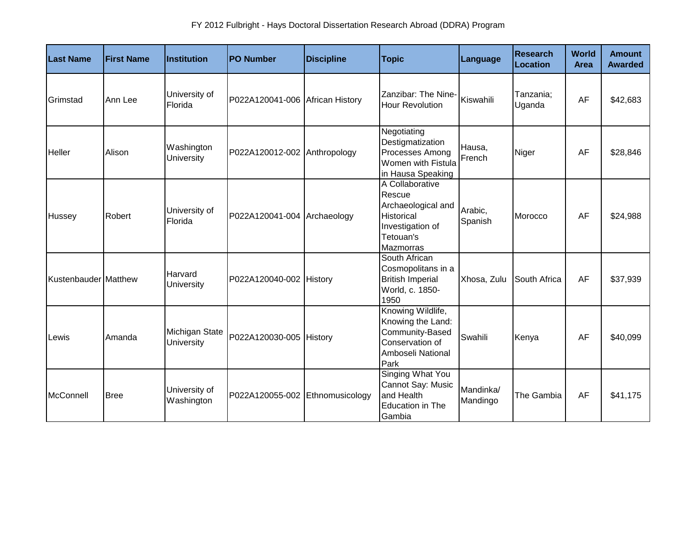| <b>Last Name</b>     | <b>First Name</b> | <b>Institution</b>           | <b>PO Number</b>                | <b>Discipline</b> | <b>Topic</b>                                                                                                | <b>Language</b>       | <b>Research</b><br>Location | <b>World</b><br><b>Area</b> | <b>Amount</b><br><b>Awarded</b> |
|----------------------|-------------------|------------------------------|---------------------------------|-------------------|-------------------------------------------------------------------------------------------------------------|-----------------------|-----------------------------|-----------------------------|---------------------------------|
| Grimstad             | Ann Lee           | University of<br>Florida     | P022A120041-006 African History |                   | Zanzibar: The Nine-<br><b>Hour Revolution</b>                                                               | Kiswahili             | Tanzania;<br>Uganda         | AF                          | \$42,683                        |
| <b>Heller</b>        | Alison            | Washington<br>University     | P022A120012-002 Anthropology    |                   | Negotiating<br>Destigmatization<br>Processes Among<br>Women with Fistula<br>in Hausa Speaking               | Hausa,<br>French      | Niger                       | AF                          | \$28,846                        |
| Hussey               | Robert            | University of<br>Florida     | P022A120041-004 Archaeology     |                   | A Collaborative<br>Rescue<br>Archaeological and<br>Historical<br>Investigation of<br>Tetouan's<br>Mazmorras | Arabic,<br>Spanish    | Morocco                     | AF                          | \$24,988                        |
| Kustenbauder Matthew |                   | Harvard<br>University        | P022A120040-002 History         |                   | South African<br>Cosmopolitans in a<br><b>British Imperial</b><br>World, c. 1850-<br>1950                   | Xhosa, Zulu           | South Africa                | AF                          | \$37,939                        |
| Lewis                | Amanda            | Michigan State<br>University | P022A120030-005 History         |                   | Knowing Wildlife,<br>Knowing the Land:<br>Community-Based<br>Conservation of<br>Amboseli National<br>Park   | Swahili               | Kenya                       | AF                          | \$40,099                        |
| McConnell            | <b>Bree</b>       | University of<br>Washington  | P022A120055-002 Ethnomusicology |                   | <b>Singing What You</b><br>Cannot Say: Music<br>and Health<br>Education in The<br>Gambia                    | Mandinka/<br>Mandingo | The Gambia                  | AF                          | \$41,175                        |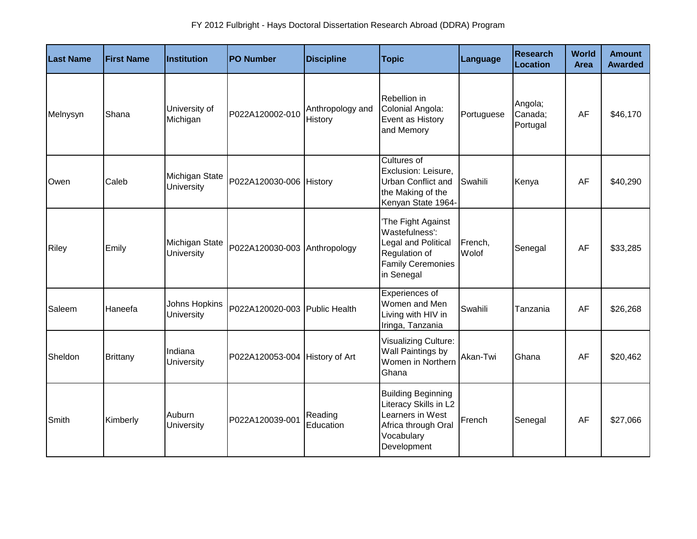| <b>Last Name</b> | <b>First Name</b> | Institution                  | <b>PO Number</b>               | <b>Discipline</b>           | <b>Topic</b>                                                                                                               | Language         | <b>Research</b><br>Location    | World<br><b>Area</b> | <b>Amount</b><br><b>Awarded</b> |
|------------------|-------------------|------------------------------|--------------------------------|-----------------------------|----------------------------------------------------------------------------------------------------------------------------|------------------|--------------------------------|----------------------|---------------------------------|
| Melnysyn         | Shana             | University of<br>Michigan    | P022A120002-010                | Anthropology and<br>History | Rebellion in<br>Colonial Angola:<br>Event as History<br>and Memory                                                         | Portuguese       | Angola;<br>Canada;<br>Portugal | AF                   | \$46,170                        |
| Owen             | Caleb             | Michigan State<br>University | P022A120030-006 History        |                             | Cultures of<br>Exclusion: Leisure,<br>Urban Conflict and<br>the Making of the<br>Kenyan State 1964-                        | Swahili          | Kenya                          | AF                   | \$40,290                        |
| Riley            | Emily             | Michigan State<br>University | P022A120030-003 Anthropology   |                             | 'The Fight Against<br>Wastefulness':<br>Legal and Political<br>Regulation of<br><b>Family Ceremonies</b><br>in Senegal     | French,<br>Wolof | Senegal                        | AF                   | \$33,285                        |
| Saleem           | Haneefa           | Johns Hopkins<br>University  | P022A120020-003 Public Health  |                             | Experiences of<br>Women and Men<br>Living with HIV in<br>Iringa, Tanzania                                                  | Swahili          | Tanzania                       | AF                   | \$26,268                        |
| Sheldon          | <b>Brittany</b>   | Indiana<br>University        | P022A120053-004 History of Art |                             | Visualizing Culture:<br>Wall Paintings by<br>Women in Northern<br>Ghana                                                    | Akan-Twi         | Ghana                          | AF                   | \$20,462                        |
| Smith            | Kimberly          | Auburn<br>University         | P022A120039-001                | Reading<br>Education        | <b>Building Beginning</b><br>Literacy Skills in L2<br>Learners in West<br>Africa through Oral<br>Vocabulary<br>Development | French           | Senegal                        | AF                   | \$27,066                        |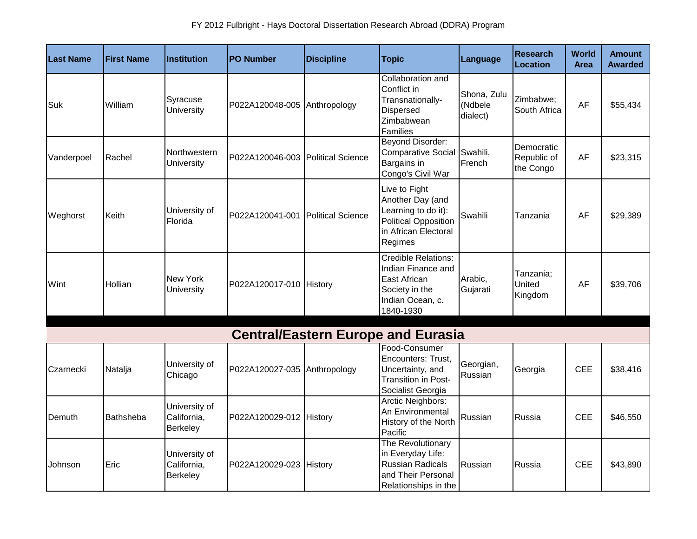| <b>Last Name</b> | <b>First Name</b> | <b>Institution</b>                       | <b>PO Number</b>                  | <b>Discipline</b>        | <b>Topic</b>                                                                                                               | Language                           | <b>Research</b><br><b>Location</b>     | <b>World</b><br><b>Area</b> | <b>Amount</b><br><b>Awarded</b> |
|------------------|-------------------|------------------------------------------|-----------------------------------|--------------------------|----------------------------------------------------------------------------------------------------------------------------|------------------------------------|----------------------------------------|-----------------------------|---------------------------------|
| Suk              | William           | Syracuse<br>University                   | P022A120048-005 Anthropology      |                          | Collaboration and<br>Conflict in<br>Transnationally-<br><b>Dispersed</b><br>Zimbabwean<br>Families                         | Shona, Zulu<br>(Ndbele<br>dialect) | Zimbabwe;<br>South Africa              | AF                          | \$55,434                        |
| Vanderpoel       | Rachel            | Northwestern<br>University               | P022A120046-003 Political Science |                          | <b>Beyond Disorder:</b><br>Comparative Social Swahili,<br>Bargains in<br>Congo's Civil War                                 | French                             | Democratic<br>Republic of<br>the Congo | AF                          | \$23,315                        |
| Weghorst         | Keith             | University of<br>Florida                 | P022A120041-001                   | <b>Political Science</b> | Live to Fight<br>Another Day (and<br>Learning to do it):<br><b>Political Opposition</b><br>in African Electoral<br>Regimes | Swahili                            | Tanzania                               | AF                          | \$29,389                        |
| Wint             | Hollian           | New York<br><b>University</b>            | P022A120017-010 History           |                          | <b>Credible Relations:</b><br>Indian Finance and<br>East African<br>Society in the<br>Indian Ocean, c.<br>1840-1930        | Arabic,<br>Gujarati                | Tanzania;<br>United<br>Kingdom         | AF                          | \$39,706                        |
|                  |                   |                                          |                                   |                          | <b>Central/Eastern Europe and Eurasia</b>                                                                                  |                                    |                                        |                             |                                 |
| Czarnecki        | Natalja           | University of<br>Chicago                 | P022A120027-035 Anthropology      |                          | Food-Consumer<br>Encounters: Trust,<br>Uncertainty, and<br>Transition in Post-<br>Socialist Georgia                        | Georgian,<br>Russian               | Georgia                                | <b>CEE</b>                  | \$38,416                        |
| Demuth           | <b>Bathsheba</b>  | University of<br>California,<br>Berkeley | P022A120029-012 History           |                          | Arctic Neighbors:<br>An Environmental<br>History of the North<br>Pacific                                                   | Russian                            | Russia                                 | <b>CEE</b>                  | \$46,550                        |
| Johnson          | Eric              | University of<br>California,<br>Berkeley | P022A120029-023 History           |                          | The Revolutionary<br>in Everyday Life:<br><b>Russian Radicals</b><br>and Their Personal<br>Relationships in the            | Russian                            | Russia                                 | <b>CEE</b>                  | \$43,890                        |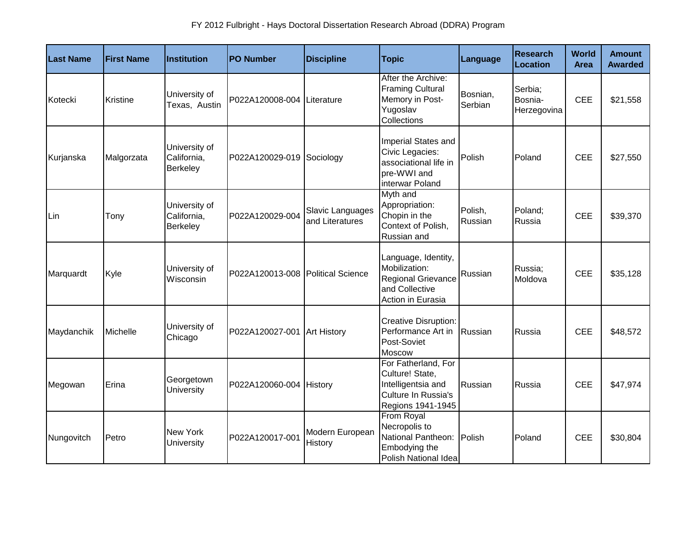| <b>Last Name</b> | <b>First Name</b> | Institution                              | <b>PO Number</b>                  | <b>Discipline</b>                   | <b>Topic</b>                                                                                             | <b>Language</b>     | <b>Research</b><br>Location       | World<br><b>Area</b> | <b>Amount</b><br><b>Awarded</b> |
|------------------|-------------------|------------------------------------------|-----------------------------------|-------------------------------------|----------------------------------------------------------------------------------------------------------|---------------------|-----------------------------------|----------------------|---------------------------------|
| Kotecki          | Kristine          | University of<br>Texas, Austin           | P022A120008-004                   | Literature                          | After the Archive:<br><b>Framing Cultural</b><br>Memory in Post-<br>Yugoslav<br>Collections              | Bosnian,<br>Serbian | Serbia;<br>Bosnia-<br>Herzegovina | <b>CEE</b>           | \$21,558                        |
| Kurjanska        | Malgorzata        | University of<br>California,<br>Berkeley | P022A120029-019                   | Sociology                           | Imperial States and<br>Civic Legacies:<br>associational life in<br>pre-WWI and<br>interwar Poland        | Polish              | Poland                            | <b>CEE</b>           | \$27,550                        |
| Lin              | Tony              | University of<br>California,<br>Berkeley | P022A120029-004                   | Slavic Languages<br>and Literatures | Myth and<br>Appropriation:<br>Chopin in the<br>Context of Polish,<br>Russian and                         | Polish,<br>Russian  | Poland;<br>Russia                 | <b>CEE</b>           | \$39,370                        |
| Marquardt        | Kyle              | University of<br>Wisconsin               | P022A120013-008 Political Science |                                     | Language, Identity,<br>Mobilization:<br>Regional Grievance<br>and Collective<br>Action in Eurasia        | Russian             | Russia;<br>Moldova                | <b>CEE</b>           | \$35,128                        |
| Maydanchik       | Michelle          | University of<br>Chicago                 | P022A120027-001 Art History       |                                     | <b>Creative Disruption:</b><br>Performance Art in<br>Post-Soviet<br>Moscow                               | Russian             | Russia                            | <b>CEE</b>           | \$48,572                        |
| Megowan          | Erina             | Georgetown<br>University                 | P022A120060-004 History           |                                     | For Fatherland, For<br>Culture! State,<br>Intelligentsia and<br>Culture In Russia's<br>Regions 1941-1945 | Russian             | Russia                            | <b>CEE</b>           | \$47,974                        |
| Nungovitch       | Petro             | New York<br>University                   | P022A120017-001                   | Modern European<br>History          | From Royal<br>Necropolis to<br>National Pantheon:<br>Embodying the<br>Polish National Idea               | Polish              | Poland                            | <b>CEE</b>           | \$30,804                        |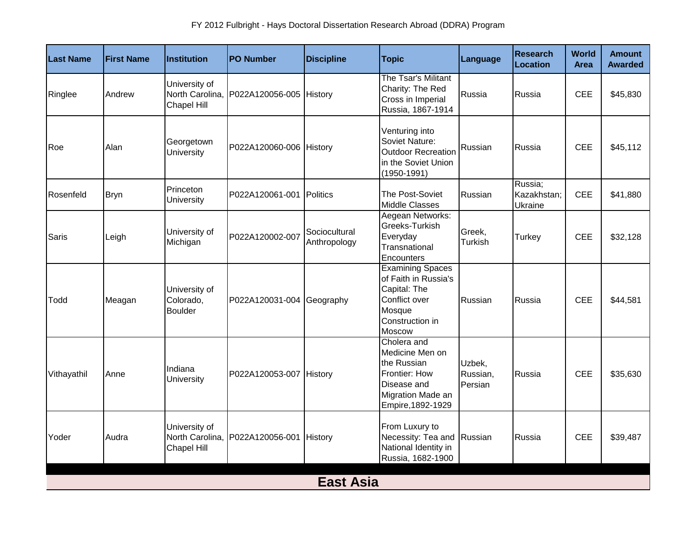| Last Name   | <b>First Name</b> | <b>Institution</b>                              | <b>PO Number</b>          | <b>Discipline</b>             | <b>Topic</b>                                                                                                            | Language                      | <b>Research</b><br>Location       | World<br><b>Area</b> | <b>Amount</b><br><b>Awarded</b> |  |  |  |
|-------------|-------------------|-------------------------------------------------|---------------------------|-------------------------------|-------------------------------------------------------------------------------------------------------------------------|-------------------------------|-----------------------------------|----------------------|---------------------------------|--|--|--|
| Ringlee     | Andrew            | University of<br>North Carolina,<br>Chapel Hill | P022A120056-005 History   |                               | The Tsar's Militant<br>Charity: The Red<br>Cross in Imperial<br>Russia, 1867-1914                                       | Russia                        | Russia                            | <b>CEE</b>           | \$45,830                        |  |  |  |
| Roe         | Alan              | Georgetown<br>University                        | P022A120060-006 History   |                               | Venturing into<br>Soviet Nature:<br><b>Outdoor Recreation</b><br>in the Soviet Union<br>$(1950 - 1991)$                 | Russian                       | Russia                            | <b>CEE</b>           | \$45,112                        |  |  |  |
| Rosenfeld   | <b>Bryn</b>       | Princeton<br>University                         | P022A120061-001           | Politics                      | The Post-Soviet<br>Middle Classes                                                                                       | Russian                       | Russia:<br>Kazakhstan;<br>Ukraine | <b>CEE</b>           | \$41,880                        |  |  |  |
| Saris       | Leigh             | University of<br>Michigan                       | P022A120002-007           | Sociocultural<br>Anthropology | Aegean Networks:<br>Greeks-Turkish<br>Everyday<br>Transnational<br>Encounters                                           | Greek,<br>Turkish             | <b>Turkey</b>                     | <b>CEE</b>           | \$32,128                        |  |  |  |
| Todd        | Meagan            | University of<br>Colorado,<br><b>Boulder</b>    | P022A120031-004 Geography |                               | <b>Examining Spaces</b><br>of Faith in Russia's<br>Capital: The<br>Conflict over<br>Mosque<br>Construction in<br>Moscow | Russian                       | Russia                            | <b>CEE</b>           | \$44,581                        |  |  |  |
| Vithayathil | Anne              | Indiana<br>University                           | P022A120053-007 History   |                               | Cholera and<br>Medicine Men on<br>the Russian<br>Frontier: How<br>Disease and<br>Migration Made an<br>Empire, 1892-1929 | Uzbek,<br>Russian,<br>Persian | Russia                            | <b>CEE</b>           | \$35,630                        |  |  |  |
| Yoder       | Audra             | University of<br>North Carolina,<br>Chapel Hill | P022A120056-001 History   |                               | From Luxury to<br>Necessity: Tea and Russian<br>National Identity in<br>Russia, 1682-1900                               |                               | Russia                            | <b>CEE</b>           | \$39,487                        |  |  |  |
|             | <b>East Asia</b>  |                                                 |                           |                               |                                                                                                                         |                               |                                   |                      |                                 |  |  |  |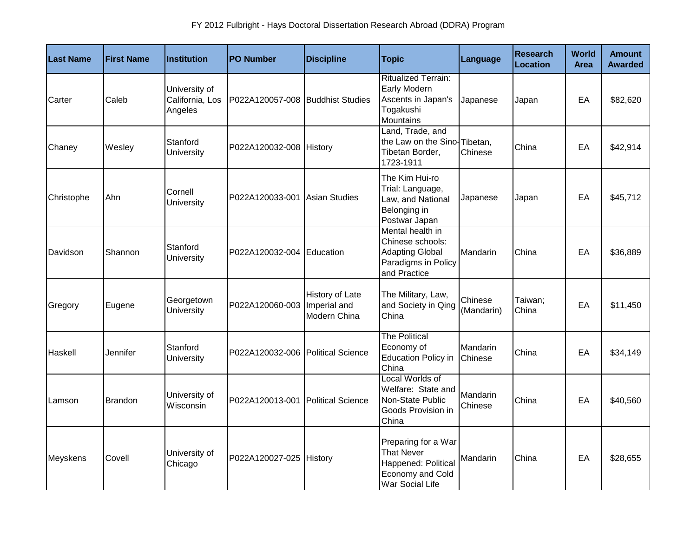| Last Name  | <b>First Name</b> | <b>Institution</b>                          | <b>PO Number</b>                  | <b>Discipline</b>                               | <b>Topic</b>                                                                                           | Language              | <b>Research</b><br><b>Location</b> | <b>World</b><br><b>Area</b> | <b>Amount</b><br><b>Awarded</b> |
|------------|-------------------|---------------------------------------------|-----------------------------------|-------------------------------------------------|--------------------------------------------------------------------------------------------------------|-----------------------|------------------------------------|-----------------------------|---------------------------------|
| Carter     | Caleb             | University of<br>California, Los<br>Angeles | P022A120057-008 Buddhist Studies  |                                                 | <b>Ritualized Terrain:</b><br>Early Modern<br>Ascents in Japan's<br>Togakushi<br>Mountains             | Japanese              | Japan                              | EA                          | \$82,620                        |
| Chaney     | Wesley            | Stanford<br>University                      | P022A120032-008 History           |                                                 | Land, Trade, and<br>the Law on the Sino-Tibetan,<br>Tibetan Border,<br>1723-1911                       | Chinese               | China                              | EA                          | \$42,914                        |
| Christophe | Ahn               | Cornell<br>University                       | P022A120033-001 Asian Studies     |                                                 | The Kim Hui-ro<br>Trial: Language,<br>Law, and National<br>Belonging in<br>Postwar Japan               | Japanese              | Japan                              | EA                          | \$45,712                        |
| Davidson   | Shannon           | Stanford<br>University                      | P022A120032-004 Education         |                                                 | Mental health in<br>Chinese schools:<br><b>Adapting Global</b><br>Paradigms in Policy<br>and Practice  | Mandarin              | China                              | EA                          | \$36,889                        |
| Gregory    | Eugene            | Georgetown<br>University                    | P022A120060-003                   | History of Late<br>Imperial and<br>Modern China | The Military, Law,<br>and Society in Qing<br>China                                                     | Chinese<br>(Mandarin) | Taiwan;<br>China                   | EA                          | \$11,450                        |
| Haskell    | Jennifer          | Stanford<br>University                      | P022A120032-006 Political Science |                                                 | <b>The Political</b><br>Economy of<br><b>Education Policy in</b><br>China                              | Mandarin<br>Chinese   | China                              | EA                          | \$34,149                        |
| Lamson     | <b>Brandon</b>    | University of<br>Wisconsin                  | P022A120013-001 Political Science |                                                 | Local Worlds of<br>Welfare: State and<br>Non-State Public<br>Goods Provision in<br>China               | Mandarin<br>Chinese   | China                              | EA                          | \$40,560                        |
| Meyskens   | Covell            | University of<br>Chicago                    | P022A120027-025 History           |                                                 | Preparing for a War<br><b>That Never</b><br>Happened: Political<br>Economy and Cold<br>War Social Life | Mandarin              | China                              | EA                          | \$28,655                        |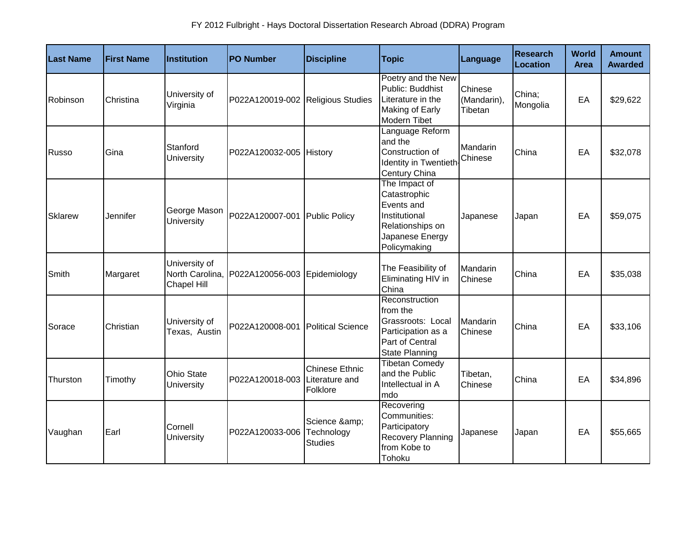| <b>Last Name</b> | <b>First Name</b> | Institution                                     | <b>PO Number</b>                  | <b>Discipline</b>                                   | <b>Topic</b>                                                                                                        | Language                          | <b>Research</b><br>Location | World<br><b>Area</b> | <b>Amount</b><br><b>Awarded</b> |
|------------------|-------------------|-------------------------------------------------|-----------------------------------|-----------------------------------------------------|---------------------------------------------------------------------------------------------------------------------|-----------------------------------|-----------------------------|----------------------|---------------------------------|
| Robinson         | Christina         | University of<br>Virginia                       | P022A120019-002 Religious Studies |                                                     | Poetry and the New<br>Public: Buddhist<br>Literature in the<br>Making of Early<br><b>Modern Tibet</b>               | Chinese<br>(Mandarin),<br>Tibetan | China;<br>Mongolia          | EA                   | \$29,622                        |
| <b>Russo</b>     | Gina              | Stanford<br>University                          | P022A120032-005 History           |                                                     | Language Reform<br>and the<br>Construction of<br>Identity in Twentieth<br>Century China                             | Mandarin<br>Chinese               | China                       | EA                   | \$32,078                        |
| Sklarew          | Jennifer          | George Mason<br>University                      | P022A120007-001                   | <b>Public Policy</b>                                | The Impact of<br>Catastrophic<br>Events and<br>Institutional<br>Relationships on<br>Japanese Energy<br>Policymaking | Japanese                          | Japan                       | EA                   | \$59,075                        |
| Smith            | Margaret          | University of<br>North Carolina,<br>Chapel Hill | P022A120056-003 Epidemiology      |                                                     | The Feasibility of<br>Eliminating HIV in<br>China                                                                   | Mandarin<br>Chinese               | China                       | EA                   | \$35,038                        |
| Sorace           | Christian         | University of<br>Texas, Austin                  | P022A120008-001                   | <b>Political Science</b>                            | Reconstruction<br>from the<br>Grassroots: Local<br>Participation as a<br>Part of Central<br><b>State Planning</b>   | Mandarin<br>Chinese               | China                       | EA                   | \$33,106                        |
| Thurston         | Timothy           | Ohio State<br><b>University</b>                 | P022A120018-003                   | <b>Chinese Ethnic</b><br>Literature and<br>Folklore | <b>Tibetan Comedy</b><br>and the Public<br>Intellectual in A<br>mdo                                                 | Tibetan,<br>Chinese               | China                       | EA                   | \$34,896                        |
| Vaughan          | Earl              | Cornell<br>University                           | P022A120033-006                   | Science &<br>Technology<br><b>Studies</b>           | Recovering<br>Communities:<br>Participatory<br>Recovery Planning<br>from Kobe to<br>Tohoku                          | Japanese                          | Japan                       | EA                   | \$55,665                        |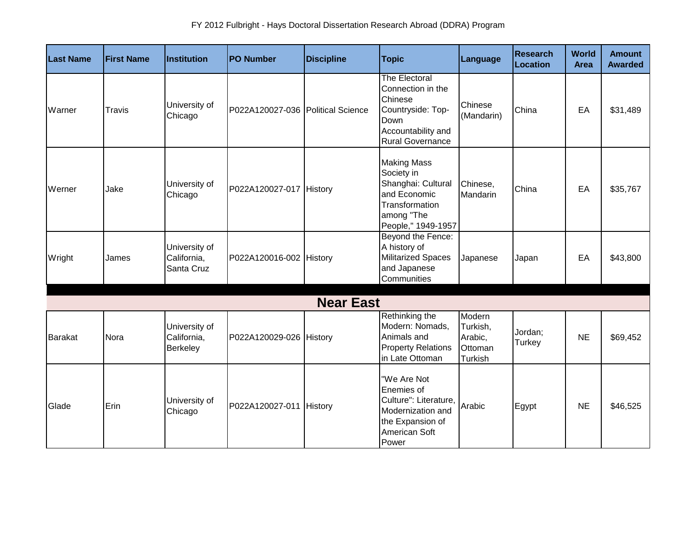| <b>Last Name</b> | <b>First Name</b> | Institution                                | <b>PO Number</b>                  | <b>Discipline</b> | <b>Topic</b>                                                                                                                       | Language                                            | <b>Research</b><br>Location | <b>World</b><br><b>Area</b> | <b>Amount</b><br><b>Awarded</b> |
|------------------|-------------------|--------------------------------------------|-----------------------------------|-------------------|------------------------------------------------------------------------------------------------------------------------------------|-----------------------------------------------------|-----------------------------|-----------------------------|---------------------------------|
| Warner           | Travis            | University of<br>Chicago                   | P022A120027-036 Political Science |                   | <b>The Electoral</b><br>Connection in the<br>Chinese<br>Countryside: Top-<br>Down<br>Accountability and<br><b>Rural Governance</b> | Chinese<br>(Mandarin)                               | China                       | EA                          | \$31,489                        |
| Werner           | Jake              | University of<br>Chicago                   | P022A120027-017 History           |                   | <b>Making Mass</b><br>Society in<br>Shanghai: Cultural<br>and Economic<br>Transformation<br>among "The<br>People," 1949-1957       | Chinese,<br>Mandarin                                | China                       | EA                          | \$35,767                        |
| Wright           | James             | University of<br>California,<br>Santa Cruz | P022A120016-002 History           |                   | Beyond the Fence:<br>A history of<br><b>Militarized Spaces</b><br>and Japanese<br>Communities                                      | Japanese                                            | Japan                       | EA                          | \$43,800                        |
|                  |                   |                                            |                                   | <b>Near East</b>  |                                                                                                                                    |                                                     |                             |                             |                                 |
| <b>Barakat</b>   | Nora              | University of<br>California,<br>Berkeley   | P022A120029-026 History           |                   | Rethinking the<br>Modern: Nomads,<br>Animals and<br><b>Property Relations</b><br>in Late Ottoman                                   | Modern<br>Turkish,<br>Arabic,<br>Ottoman<br>Turkish | Jordan;<br>Turkey           | <b>NE</b>                   | \$69,452                        |
| Glade            | Erin              | University of<br>Chicago                   | P022A120027-011 History           |                   | "We Are Not<br>Enemies of<br>Culture": Literature,<br>Modernization and<br>the Expansion of<br>American Soft<br>Power              | Arabic                                              | Egypt                       | <b>NE</b>                   | \$46,525                        |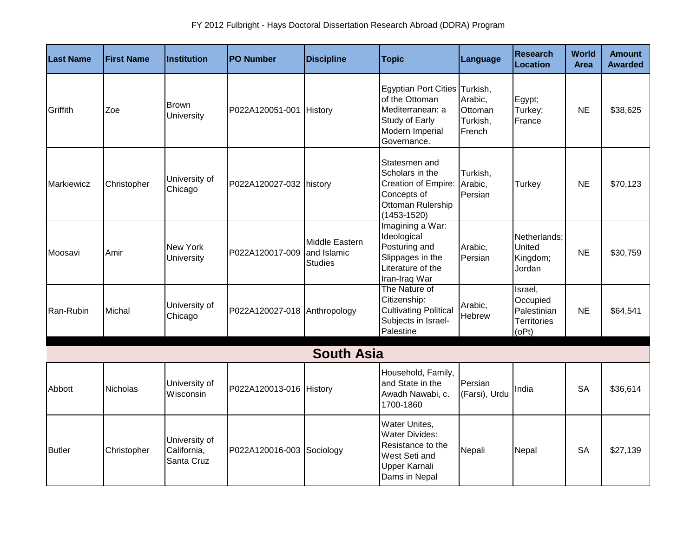| <b>Last Name</b>  | <b>First Name</b> | Institution                                | <b>PO Number</b>             | <b>Discipline</b>                               | <b>Topic</b>                                                                                                            | Language                                 | Research<br>Location                                              | <b>World</b><br><b>Area</b> | <b>Amount</b><br><b>Awarded</b> |
|-------------------|-------------------|--------------------------------------------|------------------------------|-------------------------------------------------|-------------------------------------------------------------------------------------------------------------------------|------------------------------------------|-------------------------------------------------------------------|-----------------------------|---------------------------------|
| Griffith          | Zoe               | <b>Brown</b><br>University                 | P022A120051-001 History      |                                                 | Egyptian Port Cities Turkish,<br>of the Ottoman<br>Mediterranean: a<br>Study of Early<br>Modern Imperial<br>Governance. | Arabic,<br>Ottoman<br>Turkish,<br>French | Egypt;<br>Turkey;<br>France                                       | <b>NE</b>                   | \$38,625                        |
| <b>Markiewicz</b> | Christopher       | University of<br>Chicago                   | P022A120027-032 history      |                                                 | Statesmen and<br>Scholars in the<br>Creation of Empire:<br>Concepts of<br>Ottoman Rulership<br>$(1453 - 1520)$          | Turkish,<br>Arabic,<br>Persian           | Turkey                                                            | <b>NE</b>                   | \$70,123                        |
| Moosavi           | Amir              | New York<br>University                     | P022A120017-009              | Middle Eastern<br>and Islamic<br><b>Studies</b> | Imagining a War:<br>Ideological<br>Posturing and<br>Slippages in the<br>Literature of the<br>Iran-Iraq War              | Arabic,<br>Persian                       | Netherlands:<br>United<br>Kingdom;<br>Jordan                      | <b>NE</b>                   | \$30,759                        |
| Ran-Rubin         | Michal            | University of<br>Chicago                   | P022A120027-018 Anthropology |                                                 | The Nature of<br>Citizenship:<br><b>Cultivating Political</b><br>Subjects in Israel-<br>Palestine                       | Arabic,<br>Hebrew                        | Israel,<br>Occupied<br>Palestinian<br><b>Territories</b><br>(OPt) | <b>NE</b>                   | \$64,541                        |
|                   |                   |                                            |                              | <b>South Asia</b>                               |                                                                                                                         |                                          |                                                                   |                             |                                 |
| Abbott            | <b>Nicholas</b>   | University of<br>Wisconsin                 | P022A120013-016 History      |                                                 | Household, Family,<br>and State in the<br>Awadh Nawabi, c.<br>1700-1860                                                 | Persian<br>(Farsi), Urdu                 | India                                                             | <b>SA</b>                   | \$36,614                        |
| <b>Butler</b>     | Christopher       | University of<br>California,<br>Santa Cruz | P022A120016-003              | Sociology                                       | Water Unites,<br><b>Water Divides:</b><br>Resistance to the<br>West Seti and<br>Upper Karnali<br>Dams in Nepal          | Nepali                                   | Nepal                                                             | <b>SA</b>                   | \$27,139                        |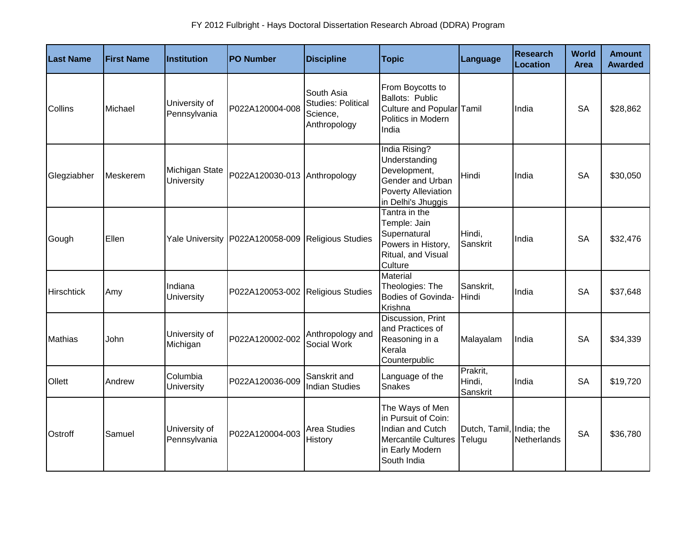| <b>Last Name</b>  | <b>First Name</b> | Institution                   | <b>PO Number</b>                  | <b>Discipline</b>                                                   | <b>Topic</b>                                                                                                               | Language                           | <b>Research</b><br>Location | World<br>Area | <b>Amount</b><br><b>Awarded</b> |
|-------------------|-------------------|-------------------------------|-----------------------------------|---------------------------------------------------------------------|----------------------------------------------------------------------------------------------------------------------------|------------------------------------|-----------------------------|---------------|---------------------------------|
| Collins           | Michael           | University of<br>Pennsylvania | P022A120004-008                   | South Asia<br><b>Studies: Political</b><br>Science,<br>Anthropology | From Boycotts to<br>Ballots: Public<br>Culture and Popular Tamil<br>Politics in Modern<br>India                            |                                    | India                       | <b>SA</b>     | \$28,862                        |
| Glegziabher       | Meskerem          | Michigan State<br>University  | P022A120030-013 Anthropology      |                                                                     | India Rising?<br>Understanding<br>Development,<br>Gender and Urban<br>Poverty Alleviation<br>in Delhi's Jhuggis            | Hindi                              | India                       | <b>SA</b>     | \$30,050                        |
| Gough             | Ellen             | <b>Yale University</b>        | P022A120058-009 Religious Studies |                                                                     | Tantra in the<br>Temple: Jain<br>Supernatural<br>Powers in History,<br>Ritual, and Visual<br>Culture                       | Hindi,<br>Sanskrit                 | India                       | <b>SA</b>     | \$32,476                        |
| <b>Hirschtick</b> | Amy               | Indiana<br>University         | P022A120053-002 Religious Studies |                                                                     | Material<br>Theologies: The<br>Bodies of Govinda-<br>Krishna                                                               | Sanskrit,<br>Hindi                 | India                       | <b>SA</b>     | \$37,648                        |
| <b>Mathias</b>    | John              | University of<br>Michigan     | P022A120002-002                   | Anthropology and<br>Social Work                                     | Discussion, Print<br>and Practices of<br>Reasoning in a<br>Kerala<br>Counterpublic                                         | Malayalam                          | India                       | <b>SA</b>     | \$34,339                        |
| Ollett            | Andrew            | Columbia<br>University        | P022A120036-009                   | Sanskrit and<br><b>Indian Studies</b>                               | Language of the<br><b>Snakes</b>                                                                                           | Prakrit,<br>Hindi,<br>Sanskrit     | India                       | <b>SA</b>     | \$19,720                        |
| Ostroff           | Samuel            | University of<br>Pennsylvania | P022A120004-003                   | Area Studies<br>History                                             | The Ways of Men<br>in Pursuit of Coin:<br>Indian and Cutch<br><b>Mercantile Cultures</b><br>in Early Modern<br>South India | Dutch, Tamil, India; the<br>Telugu | Netherlands                 | <b>SA</b>     | \$36,780                        |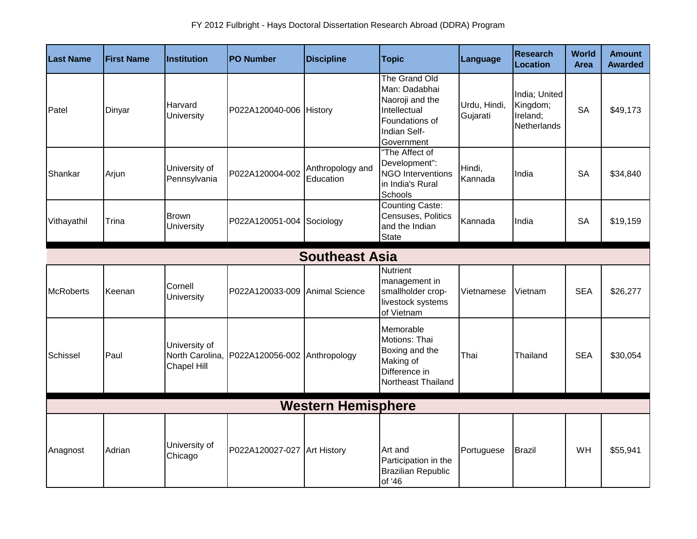| <b>Last Name</b> | <b>First Name</b>         | <b>Institution</b>                              | <b>PO Number</b>               | <b>Discipline</b>             | <b>Topic</b>                                                                                                      | Language                 | <b>Research</b><br>Location                          | <b>World</b><br><b>Area</b> | <b>Amount</b><br><b>Awarded</b> |  |
|------------------|---------------------------|-------------------------------------------------|--------------------------------|-------------------------------|-------------------------------------------------------------------------------------------------------------------|--------------------------|------------------------------------------------------|-----------------------------|---------------------------------|--|
| Patel            | Dinyar                    | Harvard<br>University                           | P022A120040-006 History        |                               | The Grand Old<br>Man: Dadabhai<br>Naoroji and the<br>Intellectual<br>Foundations of<br>Indian Self-<br>Government | Urdu, Hindi,<br>Gujarati | India; United<br>Kingdom;<br>Ireland;<br>Netherlands | <b>SA</b>                   | \$49,173                        |  |
| Shankar          | Arjun                     | University of<br>Pennsylvania                   | P022A120004-002                | Anthropology and<br>Education | "The Affect of<br>Development":<br><b>NGO Interventions</b><br>in India's Rural<br>Schools                        | Hindi,<br>Kannada        | India                                                | <b>SA</b>                   | \$34,840                        |  |
| Vithayathil      | Trina                     | <b>Brown</b><br><b>University</b>               | P022A120051-004 Sociology      |                               | <b>Counting Caste:</b><br>Censuses, Politics<br>and the Indian<br><b>State</b>                                    | Kannada                  | India                                                | <b>SA</b>                   | \$19,159                        |  |
|                  |                           |                                                 |                                | <b>Southeast Asia</b>         |                                                                                                                   |                          |                                                      |                             |                                 |  |
| <b>McRoberts</b> | Keenan                    | Cornell<br><b>University</b>                    | P022A120033-009 Animal Science |                               | Nutrient<br>management in<br>smallholder crop-<br>livestock systems<br>of Vietnam                                 | Vietnamese               | Vietnam                                              | <b>SEA</b>                  | \$26,277                        |  |
| Schissel         | Paul                      | University of<br>North Carolina,<br>Chapel Hill | P022A120056-002 Anthropology   |                               | Memorable<br>Motions: Thai<br>Boxing and the<br>Making of<br>Difference in<br>Northeast Thailand                  | Thai                     | Thailand                                             | <b>SEA</b>                  | \$30,054                        |  |
|                  | <b>Western Hemisphere</b> |                                                 |                                |                               |                                                                                                                   |                          |                                                      |                             |                                 |  |
| Anagnost         | Adrian                    | University of<br>Chicago                        | P022A120027-027 Art History    |                               | Art and<br>Participation in the<br><b>Brazilian Republic</b><br>of '46                                            | Portuguese               | <b>Brazil</b>                                        | WH                          | \$55,941                        |  |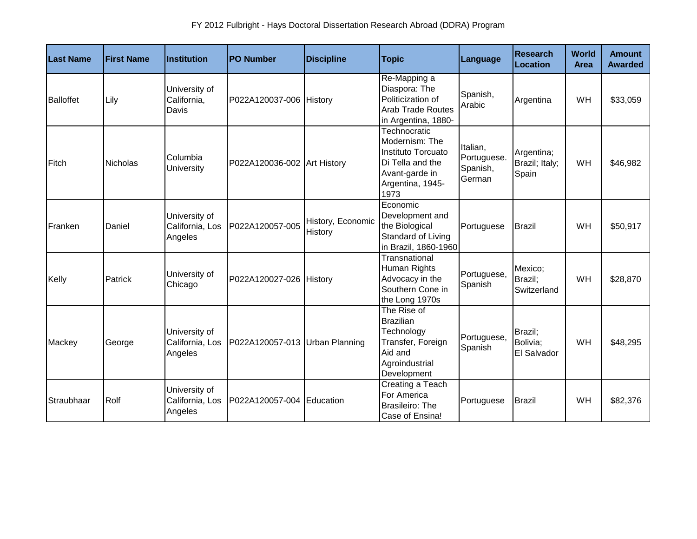| <b>Last Name</b> | <b>First Name</b> | <b>Institution</b>                          | <b>PO Number</b>               | <b>Discipline</b>            | <b>Topic</b>                                                                                                           | Language                                      | <b>Research</b><br>Location           | <b>World</b><br>Area | <b>Amount</b><br><b>Awarded</b> |
|------------------|-------------------|---------------------------------------------|--------------------------------|------------------------------|------------------------------------------------------------------------------------------------------------------------|-----------------------------------------------|---------------------------------------|----------------------|---------------------------------|
| <b>Balloffet</b> | Lily              | University of<br>California,<br>Davis       | P022A120037-006 History        |                              | Re-Mapping a<br>Diaspora: The<br>Politicization of<br><b>Arab Trade Routes</b><br>in Argentina, 1880-                  | Spanish,<br>Arabic                            | Argentina                             | WH                   | \$33,059                        |
| Fitch            | <b>Nicholas</b>   | Columbia<br>University                      | P022A120036-002 Art History    |                              | Technocratic<br>Modernism: The<br>Instituto Torcuato<br>Di Tella and the<br>Avant-garde in<br>Argentina, 1945-<br>1973 | Italian,<br>Portuguese.<br>Spanish,<br>German | Argentina;<br>Brazil; Italy;<br>Spain | WH                   | \$46,982                        |
| Franken          | Daniel            | University of<br>California, Los<br>Angeles | P022A120057-005                | History, Economic<br>History | Economic<br>Development and<br>the Biological<br>Standard of Living<br>in Brazil, 1860-1960                            | Portuguese                                    | <b>Brazil</b>                         | WH                   | \$50,917                        |
| Kelly            | Patrick           | University of<br>Chicago                    | P022A120027-026 History        |                              | Transnational<br>Human Rights<br>Advocacy in the<br>Southern Cone in<br>the Long 1970s                                 | Portuguese,<br>Spanish                        | Mexico:<br>Brazil;<br>Switzerland     | <b>WH</b>            | \$28,870                        |
| Mackey           | George            | University of<br>California, Los<br>Angeles | P022A120057-013 Urban Planning |                              | The Rise of<br><b>Brazilian</b><br>Technology<br>Transfer, Foreign<br>Aid and<br>Agroindustrial<br>Development         | Portuguese,<br>Spanish                        | Brazil;<br>Bolivia;<br>El Salvador    | WH                   | \$48,295                        |
| Straubhaar       | Rolf              | University of<br>California, Los<br>Angeles | P022A120057-004 Education      |                              | <b>Creating a Teach</b><br>For America<br>Brasileiro: The<br>Case of Ensina!                                           | Portuguese                                    | <b>Brazil</b>                         | WH                   | \$82,376                        |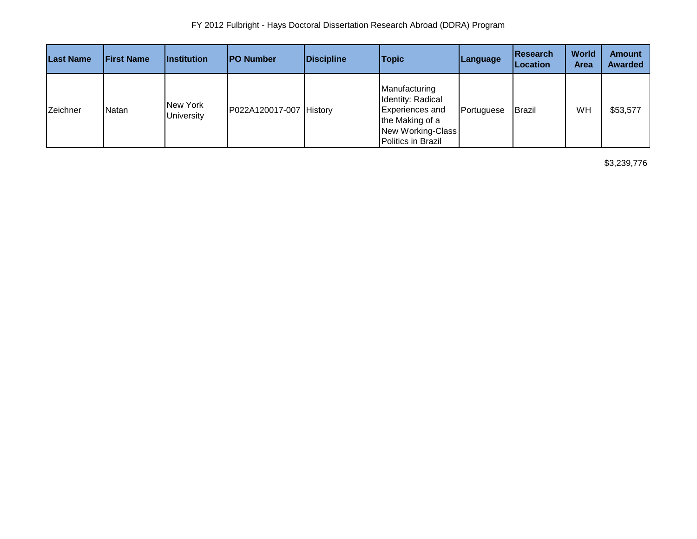| <b>Last Name</b> | <b>First Name</b> | <i><u><b>Institution</b></u></i> | <b>IPO Number</b>       | Discipline | <b>Topic</b>                                                                                                               | Language   | <b>IResearch</b><br>Location | World<br><b>Area</b> | <b>Amount</b><br><b>Awarded</b> |
|------------------|-------------------|----------------------------------|-------------------------|------------|----------------------------------------------------------------------------------------------------------------------------|------------|------------------------------|----------------------|---------------------------------|
| Zeichner         | Natan             | New York<br><b>University</b>    | P022A120017-007 History |            | Manufacturing<br>Identity: Radical<br><b>Experiences and</b><br>the Making of a<br>New Working-Class<br>Politics in Brazil | Portuguese | Brazil                       | WH                   | \$53,577                        |

\$3,239,776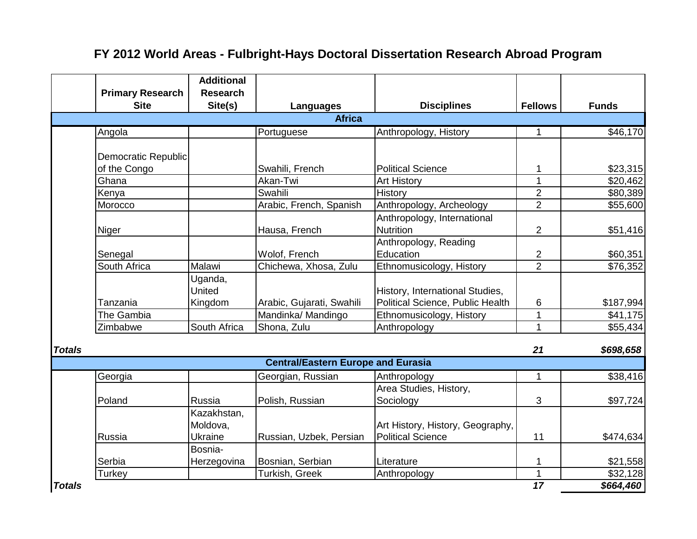|               | <b>Primary Research</b><br><b>Site</b> | <b>Additional</b><br><b>Research</b><br>Site(s) | Languages                                 | <b>Disciplines</b>                              | <b>Fellows</b>      | <b>Funds</b>         |
|---------------|----------------------------------------|-------------------------------------------------|-------------------------------------------|-------------------------------------------------|---------------------|----------------------|
|               |                                        |                                                 | <b>Africa</b>                             |                                                 |                     |                      |
|               | Angola                                 |                                                 | Portuguese                                | Anthropology, History                           | 1                   | \$46,170             |
|               | Democratic Republic                    |                                                 |                                           |                                                 |                     |                      |
|               | of the Congo                           |                                                 | Swahili, French                           | <b>Political Science</b>                        | 1                   | \$23,315             |
|               | Ghana                                  |                                                 | Akan-Twi                                  | <b>Art History</b>                              | 1                   | \$20,462             |
|               | Kenya                                  |                                                 | Swahili                                   | History                                         | $\overline{2}$      | \$80,389             |
|               | Morocco                                |                                                 | Arabic, French, Spanish                   | Anthropology, Archeology                        | $\overline{2}$      | \$55,600             |
|               | Niger                                  |                                                 | Hausa, French                             | Anthropology, International<br><b>Nutrition</b> | $\overline{2}$      | \$51,416             |
|               | Senegal                                |                                                 | Wolof, French                             | Anthropology, Reading<br>Education              | $\boldsymbol{2}$    | \$60,351             |
|               | South Africa                           | Malawi                                          | Chichewa, Xhosa, Zulu                     | Ethnomusicology, History                        | $\overline{2}$      | \$76,352             |
|               |                                        | Uganda,<br>United                               |                                           | History, International Studies,                 |                     |                      |
|               | Tanzania                               | Kingdom                                         | Arabic, Gujarati, Swahili                 | Political Science, Public Health                | 6                   | \$187,994            |
|               | The Gambia<br>Zimbabwe                 | South Africa                                    | Mandinka/ Mandingo<br>Shona, Zulu         | Ethnomusicology, History                        | 1<br>$\overline{1}$ | \$41,175<br>\$55,434 |
|               |                                        |                                                 |                                           | Anthropology                                    |                     |                      |
| <b>Totals</b> |                                        |                                                 |                                           |                                                 | 21                  | \$698,658            |
|               |                                        |                                                 | <b>Central/Eastern Europe and Eurasia</b> |                                                 |                     |                      |
|               | Georgia                                |                                                 | Georgian, Russian                         | Anthropology                                    | $\mathbf 1$         | \$38,416             |
|               | Poland                                 | <b>Russia</b>                                   | Polish, Russian                           | Area Studies, History,<br>Sociology             | 3                   | \$97,724             |
|               |                                        | Kazakhstan,<br>Moldova,                         |                                           | Art History, History, Geography,                |                     |                      |
|               | Russia                                 | <b>Ukraine</b>                                  | Russian, Uzbek, Persian                   | <b>Political Science</b>                        | 11                  | \$474,634            |
|               | Serbia                                 | Bosnia-<br>Herzegovina                          | Bosnian, Serbian                          | Literature                                      | 1                   | \$21,558             |
|               | Turkey                                 |                                                 | Turkish, Greek                            | Anthropology                                    | 1                   | \$32,128             |
| <b>Totals</b> |                                        |                                                 |                                           |                                                 | $\overline{17}$     | \$664,460            |

## **FY 2012 World Areas - Fulbright-Hays Doctoral Dissertation Research Abroad Program**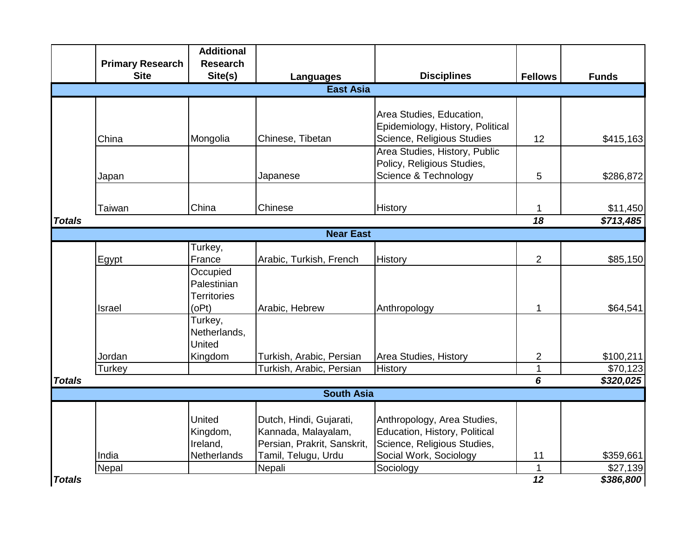|                   |                         | <b>Additional</b>  |                                                      |                                  |                                  |                       |  |  |  |  |
|-------------------|-------------------------|--------------------|------------------------------------------------------|----------------------------------|----------------------------------|-----------------------|--|--|--|--|
|                   | <b>Primary Research</b> | <b>Research</b>    |                                                      |                                  |                                  |                       |  |  |  |  |
|                   | <b>Site</b>             | Site(s)            | <b>Languages</b>                                     | <b>Disciplines</b>               | <b>Fellows</b>                   | <b>Funds</b>          |  |  |  |  |
| <b>East Asia</b>  |                         |                    |                                                      |                                  |                                  |                       |  |  |  |  |
|                   |                         |                    |                                                      |                                  |                                  |                       |  |  |  |  |
|                   |                         |                    |                                                      | Area Studies, Education,         |                                  |                       |  |  |  |  |
|                   |                         |                    |                                                      | Epidemiology, History, Political |                                  |                       |  |  |  |  |
|                   | China                   | Mongolia           | Chinese, Tibetan                                     | Science, Religious Studies       | 12                               | \$415,163             |  |  |  |  |
|                   |                         |                    |                                                      | Area Studies, History, Public    |                                  |                       |  |  |  |  |
|                   |                         |                    |                                                      | Policy, Religious Studies,       |                                  |                       |  |  |  |  |
|                   | Japan                   |                    | Japanese                                             | Science & Technology             | 5                                | \$286,872             |  |  |  |  |
|                   |                         |                    |                                                      |                                  |                                  |                       |  |  |  |  |
|                   | Taiwan                  | China              | Chinese                                              | History                          | 1                                | \$11,450              |  |  |  |  |
| <b>Totals</b>     |                         |                    |                                                      |                                  | $\overline{18}$                  | \$713,485             |  |  |  |  |
|                   |                         |                    | <b>Near East</b>                                     |                                  |                                  |                       |  |  |  |  |
|                   |                         | Turkey,            |                                                      |                                  |                                  |                       |  |  |  |  |
|                   | Egypt                   | France             | Arabic, Turkish, French                              | History                          | $\overline{2}$                   | \$85,150              |  |  |  |  |
|                   |                         | Occupied           |                                                      |                                  |                                  |                       |  |  |  |  |
|                   |                         | Palestinian        |                                                      |                                  |                                  |                       |  |  |  |  |
|                   |                         | <b>Territories</b> |                                                      |                                  |                                  |                       |  |  |  |  |
|                   | Israel                  | (OPt)              | Arabic, Hebrew                                       | Anthropology                     | 1                                | \$64,541              |  |  |  |  |
|                   |                         | Turkey,            |                                                      |                                  |                                  |                       |  |  |  |  |
|                   |                         | Netherlands,       |                                                      |                                  |                                  |                       |  |  |  |  |
|                   |                         | United             |                                                      |                                  |                                  |                       |  |  |  |  |
|                   | Jordan<br>Turkey        | Kingdom            | Turkish, Arabic, Persian<br>Turkish, Arabic, Persian | Area Studies, History<br>History | $\overline{2}$<br>$\overline{1}$ | \$100,211<br>\$70,123 |  |  |  |  |
| <b>Totals</b>     |                         |                    |                                                      |                                  | 6                                | \$320,025             |  |  |  |  |
|                   |                         |                    |                                                      |                                  |                                  |                       |  |  |  |  |
| <b>South Asia</b> |                         |                    |                                                      |                                  |                                  |                       |  |  |  |  |
|                   |                         | United             | Dutch, Hindi, Gujarati,                              | Anthropology, Area Studies,      |                                  |                       |  |  |  |  |
|                   |                         | Kingdom,           | Kannada, Malayalam,                                  | Education, History, Political    |                                  |                       |  |  |  |  |
|                   |                         | Ireland,           | Persian, Prakrit, Sanskrit,                          | Science, Religious Studies,      |                                  |                       |  |  |  |  |
|                   | India                   | Netherlands        | Tamil, Telugu, Urdu                                  | Social Work, Sociology           | 11                               | \$359,661             |  |  |  |  |
|                   | Nepal                   |                    | Nepali                                               | Sociology                        | $\mathbf{1}$                     | \$27,139              |  |  |  |  |
| <b>Totals</b>     |                         |                    |                                                      |                                  | $\overline{12}$                  | \$386,800             |  |  |  |  |